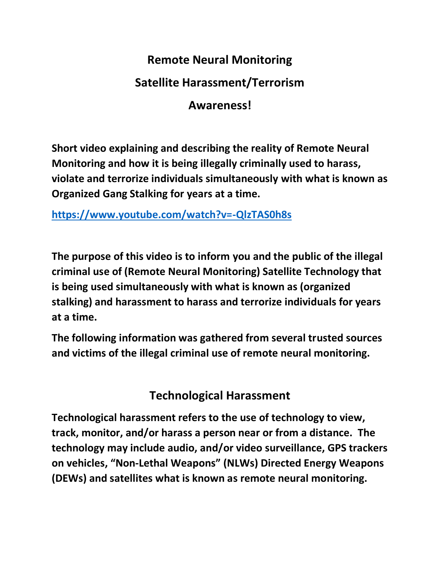# **Remote Neural Monitoring Satellite Harassment/Terrorism**

## **Awareness!**

**Short video explaining and describing the reality of Remote Neural Monitoring and how it is being illegally criminally used to harass, violate and terrorize individuals simultaneously with what is known as Organized Gang Stalking for years at a time.**

**<https://www.youtube.com/watch?v=-QlzTAS0h8s>**

**The purpose of this video is to inform you and the public of the illegal criminal use of (Remote Neural Monitoring) Satellite Technology that is being used simultaneously with what is known as (organized stalking) and harassment to harass and terrorize individuals for years at a time.**

**The following information was gathered from several trusted sources and victims of the illegal criminal use of remote neural monitoring.**

**Technological Harassment**

**Technological harassment refers to the use of technology to view, track, monitor, and/or harass a person near or from a distance. The technology may include audio, and/or video surveillance, GPS trackers on vehicles, "Non-Lethal Weapons" (NLWs) Directed Energy Weapons (DEWs) and satellites what is known as remote neural monitoring.**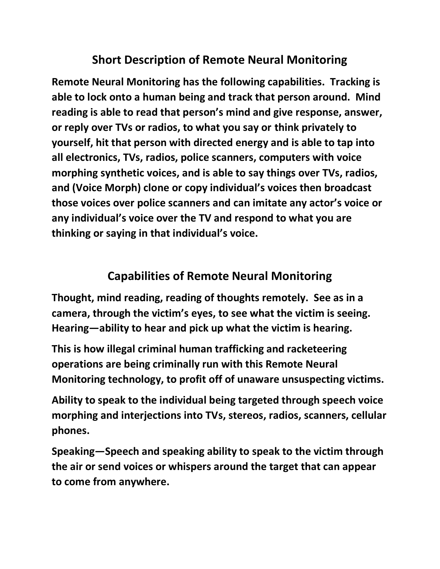## **Short Description of Remote Neural Monitoring**

**Remote Neural Monitoring has the following capabilities. Tracking is able to lock onto a human being and track that person around. Mind reading is able to read that person's mind and give response, answer, or reply over TVs or radios, to what you say or think privately to yourself, hit that person with directed energy and is able to tap into all electronics, TVs, radios, police scanners, computers with voice morphing synthetic voices, and is able to say things over TVs, radios, and (Voice Morph) clone or copy individual's voices then broadcast those voices over police scanners and can imitate any actor's voice or any individual's voice over the TV and respond to what you are thinking or saying in that individual's voice.** 

## **Capabilities of Remote Neural Monitoring**

**Thought, mind reading, reading of thoughts remotely. See as in a camera, through the victim's eyes, to see what the victim is seeing. Hearing—ability to hear and pick up what the victim is hearing.** 

**This is how illegal criminal human trafficking and racketeering operations are being criminally run with this Remote Neural Monitoring technology, to profit off of unaware unsuspecting victims.** 

**Ability to speak to the individual being targeted through speech voice morphing and interjections into TVs, stereos, radios, scanners, cellular phones.**

**Speaking—Speech and speaking ability to speak to the victim through the air or send voices or whispers around the target that can appear to come from anywhere.**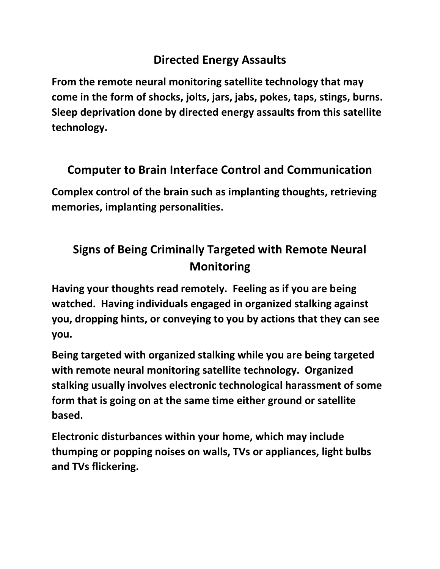## **Directed Energy Assaults**

**From the remote neural monitoring satellite technology that may come in the form of shocks, jolts, jars, jabs, pokes, taps, stings, burns. Sleep deprivation done by directed energy assaults from this satellite technology.** 

## **Computer to Brain Interface Control and Communication**

**Complex control of the brain such as implanting thoughts, retrieving memories, implanting personalities.** 

# **Signs of Being Criminally Targeted with Remote Neural Monitoring**

**Having your thoughts read remotely. Feeling as if you are being watched. Having individuals engaged in organized stalking against you, dropping hints, or conveying to you by actions that they can see you.** 

**Being targeted with organized stalking while you are being targeted with remote neural monitoring satellite technology. Organized stalking usually involves electronic technological harassment of some form that is going on at the same time either ground or satellite based.**

**Electronic disturbances within your home, which may include thumping or popping noises on walls, TVs or appliances, light bulbs and TVs flickering.**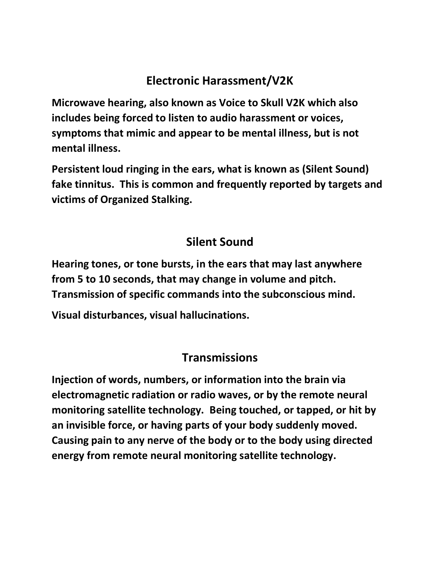## **Electronic Harassment/V2K**

**Microwave hearing, also known as Voice to Skull V2K which also includes being forced to listen to audio harassment or voices, symptoms that mimic and appear to be mental illness, but is not mental illness.**

**Persistent loud ringing in the ears, what is known as (Silent Sound) fake tinnitus. This is common and frequently reported by targets and victims of Organized Stalking.** 

## **Silent Sound**

**Hearing tones, or tone bursts, in the ears that may last anywhere from 5 to 10 seconds, that may change in volume and pitch. Transmission of specific commands into the subconscious mind.** 

**Visual disturbances, visual hallucinations.** 

#### **Transmissions**

**Injection of words, numbers, or information into the brain via electromagnetic radiation or radio waves, or by the remote neural monitoring satellite technology. Being touched, or tapped, or hit by an invisible force, or having parts of your body suddenly moved. Causing pain to any nerve of the body or to the body using directed energy from remote neural monitoring satellite technology.**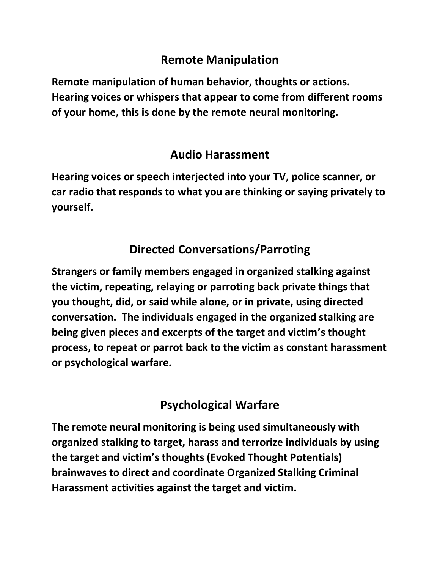### **Remote Manipulation**

**Remote manipulation of human behavior, thoughts or actions. Hearing voices or whispers that appear to come from different rooms of your home, this is done by the remote neural monitoring.**

#### **Audio Harassment**

**Hearing voices or speech interjected into your TV, police scanner, or car radio that responds to what you are thinking or saying privately to yourself.** 

## **Directed Conversations/Parroting**

**Strangers or family members engaged in organized stalking against the victim, repeating, relaying or parroting back private things that you thought, did, or said while alone, or in private, using directed conversation. The individuals engaged in the organized stalking are being given pieces and excerpts of the target and victim's thought process, to repeat or parrot back to the victim as constant harassment or psychological warfare.** 

## **Psychological Warfare**

**The remote neural monitoring is being used simultaneously with organized stalking to target, harass and terrorize individuals by using the target and victim's thoughts (Evoked Thought Potentials) brainwaves to direct and coordinate Organized Stalking Criminal Harassment activities against the target and victim.**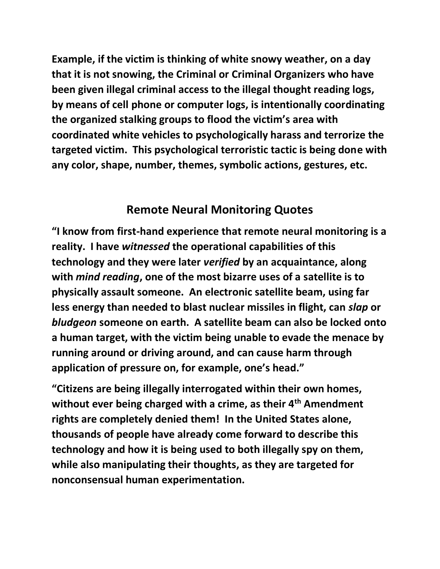**Example, if the victim is thinking of white snowy weather, on a day that it is not snowing, the Criminal or Criminal Organizers who have been given illegal criminal access to the illegal thought reading logs, by means of cell phone or computer logs, is intentionally coordinating the organized stalking groups to flood the victim's area with coordinated white vehicles to psychologically harass and terrorize the targeted victim. This psychological terroristic tactic is being done with any color, shape, number, themes, symbolic actions, gestures, etc.** 

#### **Remote Neural Monitoring Quotes**

**"I know from first-hand experience that remote neural monitoring is a reality. I have** *witnessed* **the operational capabilities of this technology and they were later** *verified* **by an acquaintance, along with** *mind reading***, one of the most bizarre uses of a satellite is to physically assault someone. An electronic satellite beam, using far less energy than needed to blast nuclear missiles in flight, can** *slap* **or**  *bludgeon* **someone on earth. A satellite beam can also be locked onto a human target, with the victim being unable to evade the menace by running around or driving around, and can cause harm through application of pressure on, for example, one's head."** 

**"Citizens are being illegally interrogated within their own homes, without ever being charged with a crime, as their 4th Amendment rights are completely denied them! In the United States alone, thousands of people have already come forward to describe this technology and how it is being used to both illegally spy on them, while also manipulating their thoughts, as they are targeted for nonconsensual human experimentation.**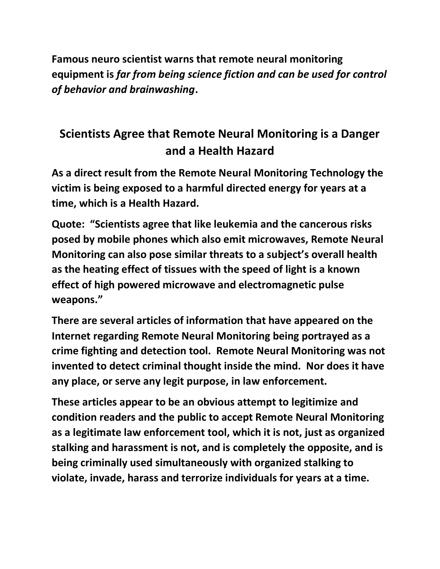**Famous neuro scientist warns that remote neural monitoring equipment is** *far from being science fiction and can be used for control of behavior and brainwashing***.**

# **Scientists Agree that Remote Neural Monitoring is a Danger and a Health Hazard**

**As a direct result from the Remote Neural Monitoring Technology the victim is being exposed to a harmful directed energy for years at a time, which is a Health Hazard.**

**Quote: "Scientists agree that like leukemia and the cancerous risks posed by mobile phones which also emit microwaves, Remote Neural Monitoring can also pose similar threats to a subject's overall health as the heating effect of tissues with the speed of light is a known effect of high powered microwave and electromagnetic pulse weapons."** 

**There are several articles of information that have appeared on the Internet regarding Remote Neural Monitoring being portrayed as a crime fighting and detection tool. Remote Neural Monitoring was not invented to detect criminal thought inside the mind. Nor does it have any place, or serve any legit purpose, in law enforcement.** 

**These articles appear to be an obvious attempt to legitimize and condition readers and the public to accept Remote Neural Monitoring as a legitimate law enforcement tool, which it is not, just as organized stalking and harassment is not, and is completely the opposite, and is being criminally used simultaneously with organized stalking to violate, invade, harass and terrorize individuals for years at a time.**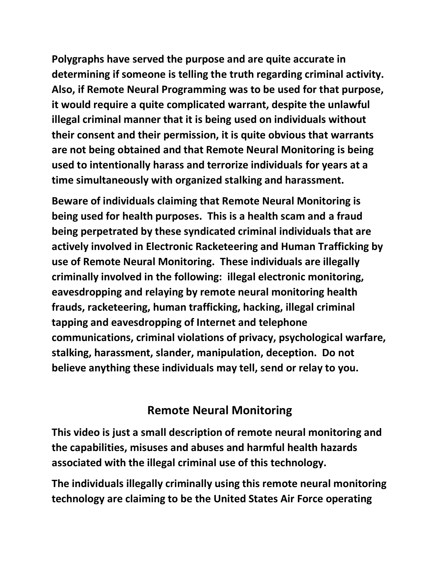**Polygraphs have served the purpose and are quite accurate in determining if someone is telling the truth regarding criminal activity. Also, if Remote Neural Programming was to be used for that purpose, it would require a quite complicated warrant, despite the unlawful illegal criminal manner that it is being used on individuals without their consent and their permission, it is quite obvious that warrants are not being obtained and that Remote Neural Monitoring is being used to intentionally harass and terrorize individuals for years at a time simultaneously with organized stalking and harassment.** 

**Beware of individuals claiming that Remote Neural Monitoring is being used for health purposes. This is a health scam and a fraud being perpetrated by these syndicated criminal individuals that are actively involved in Electronic Racketeering and Human Trafficking by use of Remote Neural Monitoring. These individuals are illegally criminally involved in the following: illegal electronic monitoring, eavesdropping and relaying by remote neural monitoring health frauds, racketeering, human trafficking, hacking, illegal criminal tapping and eavesdropping of Internet and telephone communications, criminal violations of privacy, psychological warfare, stalking, harassment, slander, manipulation, deception. Do not believe anything these individuals may tell, send or relay to you.** 

#### **Remote Neural Monitoring**

**This video is just a small description of remote neural monitoring and the capabilities, misuses and abuses and harmful health hazards associated with the illegal criminal use of this technology.** 

**The individuals illegally criminally using this remote neural monitoring technology are claiming to be the United States Air Force operating**